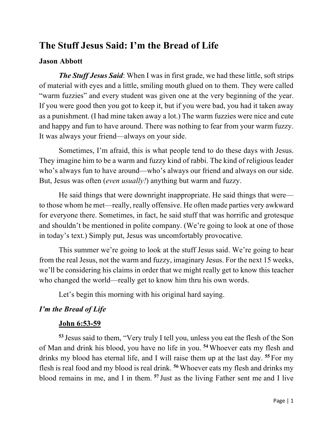## **The Stuff Jesus Said: I'm the Bread of Life**

## **Jason Abbott**

*The Stuff Jesus Said*: When I was in first grade, we had these little, soft strips of material with eyes and a little, smiling mouth glued on to them. They were called "warm fuzzies" and every student was given one at the very beginning of the year. If you were good then you got to keep it, but if you were bad, you had it taken away as a punishment. (I had mine taken away a lot.) The warm fuzzies were nice and cute and happy and fun to have around. There was nothing to fear from your warm fuzzy. It was always your friend—always on your side.

Sometimes, I'm afraid, this is what people tend to do these days with Jesus. They imagine him to be a warm and fuzzy kind of rabbi. The kind of religious leader who's always fun to have around—who's always our friend and always on our side. But, Jesus was often (*even usually!*) anything but warm and fuzzy.

He said things that were downright inappropriate. He said things that were to those whom he met—really, really offensive. He often made parties very awkward for everyone there. Sometimes, in fact, he said stuff that was horrific and grotesque and shouldn't be mentioned in polite company. (We're going to look at one of those in today's text.) Simply put, Jesus was uncomfortably provocative.

This summer we're going to look at the stuff Jesus said. We're going to hear from the real Jesus, not the warm and fuzzy, imaginary Jesus. For the next 15 weeks, we'll be considering his claims in order that we might really get to know this teacher who changed the world—really get to know him thru his own words.

Let's begin this morning with his original hard saying.

## *I'm the Bread of Life*

## **John 6:53-59**

**<sup>53</sup>** Jesus said to them, "Very truly I tell you, unless you eat the flesh of the Son of Man and drink his blood, you have no life in you. **<sup>54</sup>** Whoever eats my flesh and drinks my blood has eternal life, and I will raise them up at the last day. **<sup>55</sup>** For my flesh is real food and my blood is real drink. **<sup>56</sup>** Whoever eats my flesh and drinks my blood remains in me, and I in them. **<sup>57</sup>** Just as the living Father sent me and I live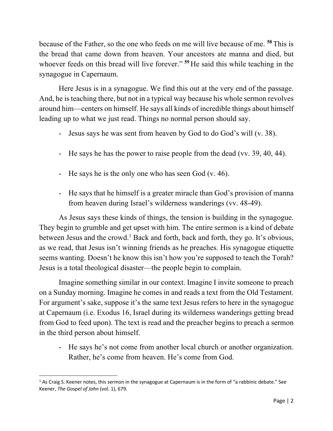because of the Father, so the one who feeds on me will live because of me. **<sup>58</sup>** This is the bread that came down from heaven. Your ancestors ate manna and died, but whoever feeds on this bread will live forever." **<sup>59</sup>** He said this while teaching in the synagogue in Capernaum.

Here Jesus is in a synagogue. We find this out at the very end of the passage. And, he is teaching there, but not in a typical way because his whole sermon revolves around him—centers on himself. He says all kinds of incredible things about himself leading up to what we just read. Things no normal person should say.

- Jesus says he was sent from heaven by God to do God's will (v. 38).
- He says he has the power to raise people from the dead (vv. 39, 40, 44).
- He says he is the only one who has seen God (v. 46).
- He says that he himself is a greater miracle than God's provision of manna from heaven during Israel's wilderness wanderings (vv. 48-49).

As Jesus says these kinds of things, the tension is building in the synagogue. They begin to grumble and get upset with him. The entire sermon is a kind of debate between Jesus and the crowd.<sup>1</sup> Back and forth, back and forth, they go. It's obvious, as we read, that Jesus isn't winning friends as he preaches. His synagogue etiquette seems wanting. Doesn't he know this isn't how you're supposed to teach the Torah? Jesus is a total theological disaster—the people begin to complain.

Imagine something similar in our context. Imagine I invite someone to preach on a Sunday morning. Imagine he comes in and reads a text from the Old Testament. For argument's sake, suppose it's the same text Jesus refers to here in the synagogue at Capernaum (i.e. Exodus 16, Israel during its wilderness wanderings getting bread from God to feed upon). The text is read and the preacher begins to preach a sermon in the third person about himself.

- He says he's not come from another local church or another organization. Rather, he's come from heaven. He's come from God.

 $1$  As Craig S. Keener notes, this sermon in the synagogue at Capernaum is in the form of "a rabbinic debate." See Keener, *The Gospel of John* (vol. 1), 679.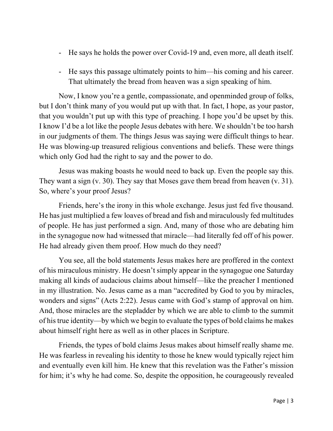- He says he holds the power over Covid-19 and, even more, all death itself.
- He says this passage ultimately points to him—his coming and his career. That ultimately the bread from heaven was a sign speaking of him.

Now, I know you're a gentle, compassionate, and openminded group of folks, but I don't think many of you would put up with that. In fact, I hope, as your pastor, that you wouldn't put up with this type of preaching. I hope you'd be upset by this. I know I'd be a lot like the people Jesus debates with here. We shouldn't be too harsh in our judgments of them. The things Jesus was saying were difficult things to hear. He was blowing-up treasured religious conventions and beliefs. These were things which only God had the right to say and the power to do.

Jesus was making boasts he would need to back up. Even the people say this. They want a sign (v. 30). They say that Moses gave them bread from heaven (v. 31). So, where's your proof Jesus?

Friends, here's the irony in this whole exchange. Jesus just fed five thousand. He has just multiplied a few loaves of bread and fish and miraculously fed multitudes of people. He has just performed a sign. And, many of those who are debating him in the synagogue now had witnessed that miracle—had literally fed off of his power. He had already given them proof. How much do they need?

You see, all the bold statements Jesus makes here are proffered in the context of his miraculous ministry. He doesn't simply appear in the synagogue one Saturday making all kinds of audacious claims about himself—like the preacher I mentioned in my illustration. No. Jesus came as a man "accredited by God to you by miracles, wonders and signs" (Acts 2:22). Jesus came with God's stamp of approval on him. And, those miracles are the stepladder by which we are able to climb to the summit of his true identity—by which we begin to evaluate the types of bold claims he makes about himself right here as well as in other places in Scripture.

Friends, the types of bold claims Jesus makes about himself really shame me. He was fearless in revealing his identity to those he knew would typically reject him and eventually even kill him. He knew that this revelation was the Father's mission for him; it's why he had come. So, despite the opposition, he courageously revealed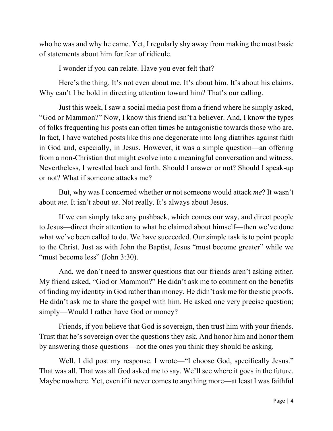who he was and why he came. Yet, I regularly shy away from making the most basic of statements about him for fear of ridicule.

I wonder if you can relate. Have you ever felt that?

Here's the thing. It's not even about me. It's about him. It's about his claims. Why can't I be bold in directing attention toward him? That's our calling.

Just this week, I saw a social media post from a friend where he simply asked, "God or Mammon?" Now, I know this friend isn't a believer. And, I know the types of folks frequenting his posts can often times be antagonistic towards those who are. In fact, I have watched posts like this one degenerate into long diatribes against faith in God and, especially, in Jesus. However, it was a simple question—an offering from a non-Christian that might evolve into a meaningful conversation and witness. Nevertheless, I wrestled back and forth. Should I answer or not? Should I speak-up or not? What if someone attacks me?

But, why was I concerned whether or not someone would attack *me*? It wasn't about *me*. It isn't about *us*. Not really. It's always about Jesus.

If we can simply take any pushback, which comes our way, and direct people to Jesus—direct their attention to what he claimed about himself—then we've done what we've been called to do. We have succeeded. Our simple task is to point people to the Christ. Just as with John the Baptist, Jesus "must become greater" while we "must become less" (John 3:30).

And, we don't need to answer questions that our friends aren't asking either. My friend asked, "God or Mammon?" He didn't ask me to comment on the benefits of finding my identity in God rather than money. He didn't ask me for theistic proofs. He didn't ask me to share the gospel with him. He asked one very precise question; simply—Would I rather have God or money?

Friends, if you believe that God is sovereign, then trust him with your friends. Trust that he's sovereign over the questions they ask. And honor him and honor them by answering those questions—not the ones you think they should be asking.

Well, I did post my response. I wrote—"I choose God, specifically Jesus." That was all. That was all God asked me to say. We'll see where it goes in the future. Maybe nowhere. Yet, even if it never comes to anything more—at least I was faithful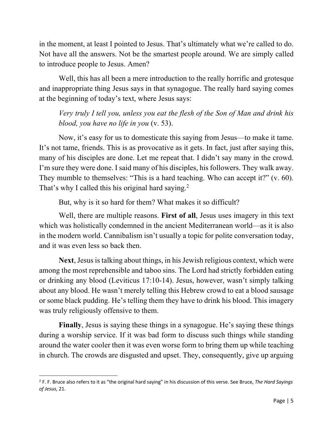in the moment, at least I pointed to Jesus. That's ultimately what we're called to do. Not have all the answers. Not be the smartest people around. We are simply called to introduce people to Jesus. Amen?

Well, this has all been a mere introduction to the really horrific and grotesque and inappropriate thing Jesus says in that synagogue. The really hard saying comes at the beginning of today's text, where Jesus says:

*Very truly I tell you, unless you eat the flesh of the Son of Man and drink his blood, you have no life in you* (v. 53).

Now, it's easy for us to domesticate this saying from Jesus—to make it tame. It's not tame, friends. This is as provocative as it gets. In fact, just after saying this, many of his disciples are done. Let me repeat that. I didn't say many in the crowd. I'm sure they were done. I said many of his disciples, his followers. They walk away. They mumble to themselves: "This is a hard teaching. Who can accept it?" (v. 60). That's why I called this his original hard saying.<sup>2</sup>

But, why is it so hard for them? What makes it so difficult?

Well, there are multiple reasons. **First of all**, Jesus uses imagery in this text which was holistically condemned in the ancient Mediterranean world—as it is also in the modern world. Cannibalism isn't usually a topic for polite conversation today, and it was even less so back then.

**Next**, Jesus is talking about things, in his Jewish religious context, which were among the most reprehensible and taboo sins. The Lord had strictly forbidden eating or drinking any blood (Leviticus 17:10-14). Jesus, however, wasn't simply talking about any blood. He wasn't merely telling this Hebrew crowd to eat a blood sausage or some black pudding. He's telling them they have to drink his blood. This imagery was truly religiously offensive to them.

**Finally**, Jesus is saying these things in a synagogue. He's saying these things during a worship service. If it was bad form to discuss such things while standing around the water cooler then it was even worse form to bring them up while teaching in church. The crowds are disgusted and upset. They, consequently, give up arguing

<sup>2</sup> F. F. Bruce also refers to it as "the original hard saying" in his discussion of this verse. See Bruce, *The Hard Sayings of Jesus*, 21.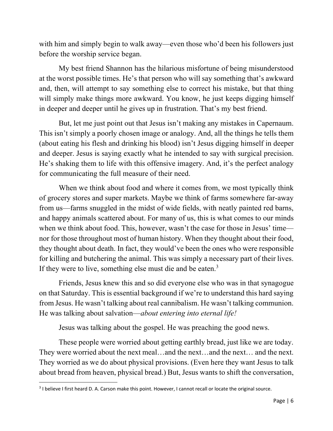with him and simply begin to walk away—even those who'd been his followers just before the worship service began.

My best friend Shannon has the hilarious misfortune of being misunderstood at the worst possible times. He's that person who will say something that's awkward and, then, will attempt to say something else to correct his mistake, but that thing will simply make things more awkward. You know, he just keeps digging himself in deeper and deeper until he gives up in frustration. That's my best friend.

But, let me just point out that Jesus isn't making any mistakes in Capernaum. This isn't simply a poorly chosen image or analogy. And, all the things he tells them (about eating his flesh and drinking his blood) isn't Jesus digging himself in deeper and deeper. Jesus is saying exactly what he intended to say with surgical precision. He's shaking them to life with this offensive imagery. And, it's the perfect analogy for communicating the full measure of their need.

When we think about food and where it comes from, we most typically think of grocery stores and super markets. Maybe we think of farms somewhere far-away from us—farms snuggled in the midst of wide fields, with neatly painted red barns, and happy animals scattered about. For many of us, this is what comes to our minds when we think about food. This, however, wasn't the case for those in Jesus' time nor for those throughout most of human history. When they thought about their food, they thought about death. In fact, they would've been the ones who were responsible for killing and butchering the animal. This was simply a necessary part of their lives. If they were to live, something else must die and be eaten.3

Friends, Jesus knew this and so did everyone else who was in that synagogue on that Saturday. This is essential background if we're to understand this hard saying from Jesus. He wasn't talking about real cannibalism. He wasn't talking communion. He was talking about salvation—*about entering into eternal life!*

Jesus was talking about the gospel. He was preaching the good news.

These people were worried about getting earthly bread, just like we are today. They were worried about the next meal…and the next…and the next… and the next. They worried as we do about physical provisions. (Even here they want Jesus to talk about bread from heaven, physical bread.) But, Jesus wants to shift the conversation,

<sup>&</sup>lt;sup>3</sup> I believe I first heard D. A. Carson make this point. However, I cannot recall or locate the original source.